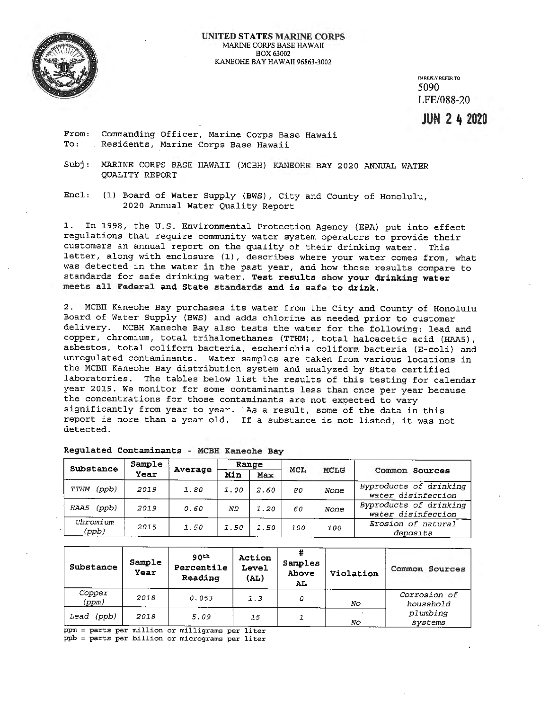

IN REPLY REFER TO 5090 LFE/088-20

**JUN 2 4 2020** 

From: To: Commanding Officer, Marine Corps Base Hawaii Residents, Marine Corps Base Hawaii

Subj: MARINE CORPS BASE HAWAII (MCBH} KANEOHE BAY 2020 ANNUAL WATER QUALITY REPORT

Encl: (1) Board of Water Supply (BWS), City and County of Honolulu, 2020 Annual Water Quality Report

1. In 1998, the U.S. Environmental Protection Agency (EPA) put into effect regulations that require community water system operators to provide their customers an annual report on the quality of their drinking water. This letter, along with enclosure (1), describes where your water comes from, what was detected in the water in the past year, and how those results compare to standards for safe drinking water. **Test results show your drinking water meets all Federal and State standards and is safe to drink.** 

2. MCBH Kaneohe Bay purchases its water from the City and County of Honolulu Board of Water Supply (BWS) and adds chlorine as needed prior to customer delivery. MCBH Kaneohe Bay also tests the water for the following: lead and copper, chromium, total trihalomethanes (TTHM), total haloacetic acid (HAAS), asbestos, total coliform bacteria, escherichia coliform bacteria (E-coli} and unregulated contaminants. Water samples are taken from various locations in the MCBH Kaneohe Bay distribution system and analyzed by State certified laboratories. The tables below list the results of this testing for calendar year 2019. We monitor for some contaminants less than once per year because the concentrations for those contaminants are not expected to vary significantly from year to year. · As a result, some of the data in this report is more than a year old. If a substance is not listed, it was not detected.

| Substance | Sample            | Average |      | Range | <b>MCL</b> | <b>MCLG</b> |            |                                              |  |
|-----------|-------------------|---------|------|-------|------------|-------------|------------|----------------------------------------------|--|
|           |                   | Year    |      | Min   | <b>Max</b> |             |            | Common Sources                               |  |
| TTHM      | (ppb)             | 2019    | 1.80 | 1.00  | 2.60       | 80          | None       | Byproducts of drinking<br>water disinfection |  |
| HAA5      | ( <i>pub</i> )    | 2019    | 0.60 | ND    | 1.20       | 60          | None       | Byproducts of drinking<br>water disinfection |  |
|           | Chromium<br>(ppb) | 2015    | 1.50 | 1.50  | 1.50       | 100         | <i>100</i> | Erosion of natural<br>deposits               |  |

| Regulated Contaminants - MCBH Kaneohe Bay |  |
|-------------------------------------------|--|
|-------------------------------------------|--|

| Substance                                    | Sample<br>Year | 90 <sup>th</sup><br>Percentile<br>Reading | Action<br><b>Level</b><br>(AL) | Samples<br>Above<br>AL | Violation | Common<br>Sources         |
|----------------------------------------------|----------------|-------------------------------------------|--------------------------------|------------------------|-----------|---------------------------|
| Copper<br>(ppm)                              | 2018           | 0.053                                     | 1.3                            | 0                      | No        | Corrosion of<br>household |
| 'ppb)<br>Lead<br><b>Barnetta del Partido</b> | 2018           | 5.09                                      | 15                             |                        | Nο        | plumbing<br>systems       |

ppm= parts per million or milligrams per liter ppb = parts per billion or micrograms per liter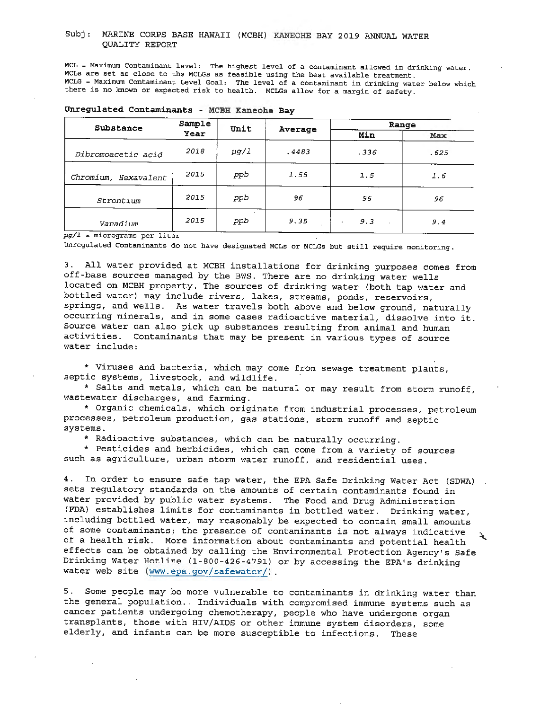#### Subj: MARINE CORPS BASE HAWAII (MCBH) KANEOHE BAY 2019 ANNUAL WATER QUALITY REPORT

MCL = Maximum Contaminant level: The highest level of a contaminant allowed in drinking water. MCLs are set as close to the MCLGs as feasible using the best available treatment. MCLG = Maximum Contaminant Level Goal: The level of a contaminant in drinking water below which there is no known or expected risk to health. MCLGs allow for a margin of safety.

| Substance                                                                                                                                                 | Sample | Unit      |         | Range            |      |  |
|-----------------------------------------------------------------------------------------------------------------------------------------------------------|--------|-----------|---------|------------------|------|--|
|                                                                                                                                                           | Year   |           | Average | Min              | Max  |  |
| Dibromoacetic acid                                                                                                                                        | 2018   | $\mu$ g/l | .4483   | .336             | .625 |  |
| Chromium, Hexavalent                                                                                                                                      | 2015   | ppb       | 1.55    | 1.5              | 1.6  |  |
| Strontium                                                                                                                                                 | 2015   | ppb       | 96      | 96               | 96   |  |
| Vanadium<br>$\frac{1}{2}$ . $\frac{1}{2}$ . $\frac{1}{2}$ . $\frac{1}{2}$ . $\frac{1}{2}$ . $\frac{1}{2}$ . $\frac{1}{2}$ . $\frac{1}{2}$ . $\frac{1}{2}$ | 2015   | ppb       | 9.35    | 9.3<br>$\bullet$ | 9.4  |  |

| Unregulated Contaminants |  |  | MCBH Kaneohe Bay |  |
|--------------------------|--|--|------------------|--|
|--------------------------|--|--|------------------|--|

*p~/1* **m** micrograms per liter

Unregulated Contaminants do not have designated MCLs or MCLGs but still require monitoring.

3. All water provided at MCBH installations for drinking purposes comes from off-base sources managed by the BWS. There are no drinking water wells located on MCBH property. The sources of drinking water (both tap water and bottled water) may include rivers, lakes, streams, ponds, reservoirs, springs, and wells. As water travels both above and below ground, naturally occurring minerals, and in some cases radioactive material, dissolve into it. Source water can also pick up substances resulting from animal and human activities. Contaminants that may be present in various types of source water include:

\* Viruses and bacteria, which may come from sewage treatment plants, septic systems, livestock, and wildlife.

\* Salts and metals, which can be natural or may result from storm runoff, wastewater discharges, and farming.

\* Organic chemicals, which originate from industrial processes, petroleum processes, petroleum production, gas stations, storm runoff and septic systems.

\* Radioactive substances, which can be naturally occurring.

\* Pesticides and herbicides, which can come from a variety of sources such as agriculture, urban storm water runoff, and residential uses.

4. In order to ensure safe tap water, the EPA Safe Drinking Water Act (SDWA) sets regulatory standards on the amounts of certain contaminants found in water provided by public water systems. The Food and Drug Administration (FDA) establishes limits for contaminants in bottled water. Drinking water, including bottled water, may reasonably be expected to contain small amounts of some contaminants; the presence of contaminants is not always indicative े. of a health risk. More information about contaminants and potential health effects can be obtained by calling the Environmental Protection Agency's Safe Drinking Water Hotline (1-800-426-4791) or by accessing the EPA's drinking water web site (www.epa.gov/safewater/) .

5. Some people may be more vulnerable to contaminants in drinking water than the general population. Individuals with compromised immune systems such as cancer patients undergoing chemotherapy, people who have undergone organ transplants, those with HIV/AIDS or other immune system disorders, some elderly, and infants can be more susceptible to infections. These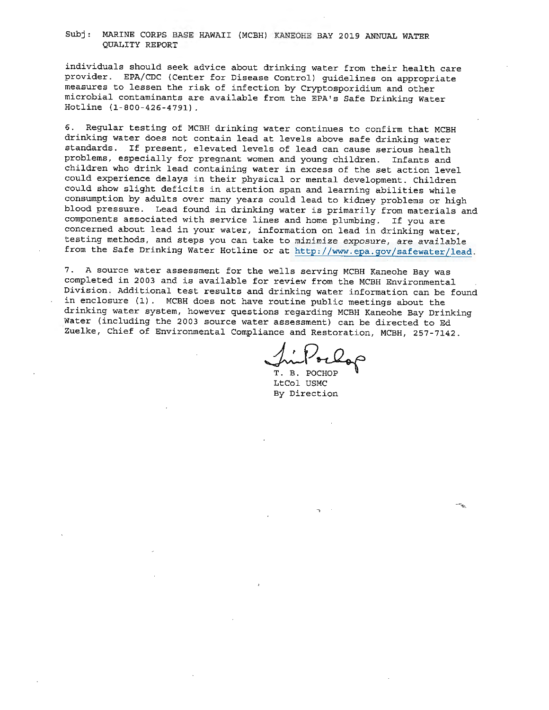#### Subj: MARINE CORPS BASE HAWAII (MCBH) KANEOHE BAY 2019 ANNUAL WATER QUALITY REPORT

individuals should seek advice about drinking water from their health care provider. EPA/CDC (Center for Disease Control) guidelines on appropriate measures to lessen the risk of infection by Cryptosporidium and other microbial contaminants are available from the EPA's Safe Drinking Water Hotline (l-800-426-4791).

6. Regular testing of MCBH drinking water continues to confirm that MCBH drinking water does not contain lead at levels above safe drinking water standards. If present, elevated levels of lead can cause serious health problems, especially for pregnant women and young children. Infants and children who drink lead containing water in excess of the set action level could experience delays in their physical or mental development. Children could show slight deficits in attention span and learning abilities while consumption by adults over many years could lead to kidney problems or high blood pressure. Lead found in drinking water is primarily from materials and components associated with service lines and home plumbing. If you are concerned about lead in your water, information on lead in drinking water, testing methods, and steps you can take to minimize exposure, are available from the Safe Drinking Water Hotline or at http://www.epa.gov/safewater/lead.

7. A source water assessment for the wells serving MCBH Kaneohe Bay was completed in 2003 and is available for review from the MCBH Environmental Division. Additional test results and drinking water information can be found in enclosure (1). MCBH does not have routine public meetings about the drinking water system, however questions regarding MCBH Kaneohe Bay Drinking Water (including the 2003 source water assessment) can be directed to Ed Zuelke, Chief of Environmental Compliance and Restoration, MCBH, 257-7142.

IniPorlop

LtCol USMC By Direction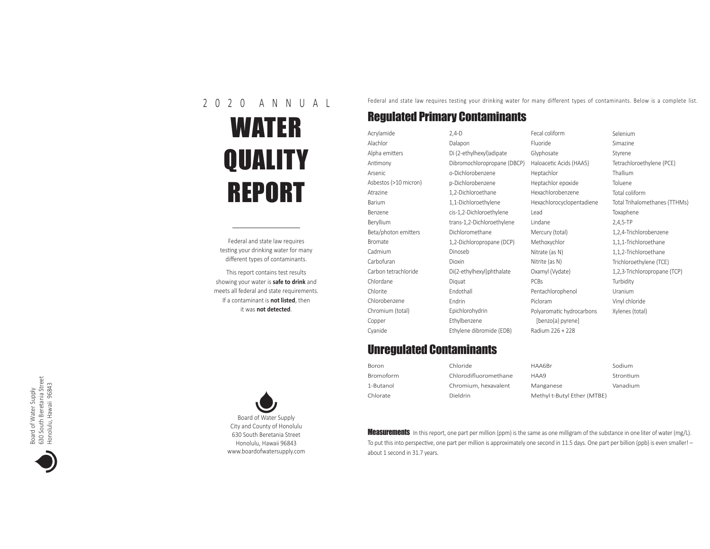## 2 0 2 0 A N N U A L WATER **QUALITY** REPORT

Federal and state law requires testing your drinking water for many diferent types of contaminants.

This report contains test results showing your water is **safe to drink** and meets all federal and state requirements. If a contaminant is **not listed**, then it was **not detected**.

Federal and state law requires testing your drinking water for many different types of contaminants. Below is a complete list.

## Regulated Primary Contaminants

Acrylamide Alachlor Alpha emiters Antimony Arsenic Asbestos (>10 micron) Atrazine Barium Benzene Beryllium Beta/photon emiters Bromate Cadmium Carbofuran Carbon tetrachloride Chlordane Chlorite Chlorobenzene Chromium (total) Copper Cyanide 2,4-D

Dalapon Di (2-ethylhexyl)adipate Dibromochloropropane (DBCP) o-Dichlorobenzene p-Dichlorobenzene 1,2-Dichloroethane 1,1-Dichloroethylene cis-1,2-Dichloroethylene trans-1,2-Dichloroethylene Dichloromethane 1,2-Dichloropropane (DCP) Dinoseb Dioxin Di(2-ethylhexyl)phthalate Diquat Endothall Endrin Epichlorohydrin Ethylbenzene Ethylene dibromide (EDB)

Fecal coliform Fluoride Glyphosate Haloacetic Acids (HAA5) Heptachlor Heptachlor epoxide Hexachlorobenzene Hexachlorocyclopentadiene Lead Lindane Mercury (total) Methoxychlor Nitrate (as N) Nitrite (as N) Oxamyl (Vydate) PCBs Pentachlorophenol Picloram Polyaromatic hydrocarbons [benzo(a) pyrene] Radium 226 + 228 Selenium Simazine Styrene Tetrachloroethylene (PCE) Thallium Toluene Total coliform Total Trihalomethanes (TTHMs) Toxaphene 2,4,5-TP 1,2,4-Trichlorobenzene 1,1,1-Trichloroethane 1,1,2-Trichloroethane Trichloroethylene (TCE) 1,2,3-Trichloropropane (TCP) **Turbidity** Uranium Vinyl chloride Xylenes (total)

## Unregulated Contaminants

| Boron            | Chloride              | HAA6Br                      | Sodium    |
|------------------|-----------------------|-----------------------------|-----------|
| <b>Bromoform</b> | Chlorodifluoromethane | HAA9                        | Strontium |
| 1-Butanol        | Chromium, hexavalent  | Manganese                   | Vanadium  |
| Chlorate         | <b>Dieldrin</b>       | Methyl t-Butyl Ether (MTBE) |           |

Measurements In this report, one part per million (ppm) is the same as one milligram of the substance in one liter of water (mg/L). To put this into perspective, one part per million is approximately one second in 11.5 days. One part per billion (ppb) is even smaller! about 1 second in 31.7 years.



Board of Water Supply<br>630 South Beretania Street<br>Honolulu, Hawaii 96843 630 South Beretania Street Honolulu, Hawaii 96843 Board of Water Supply

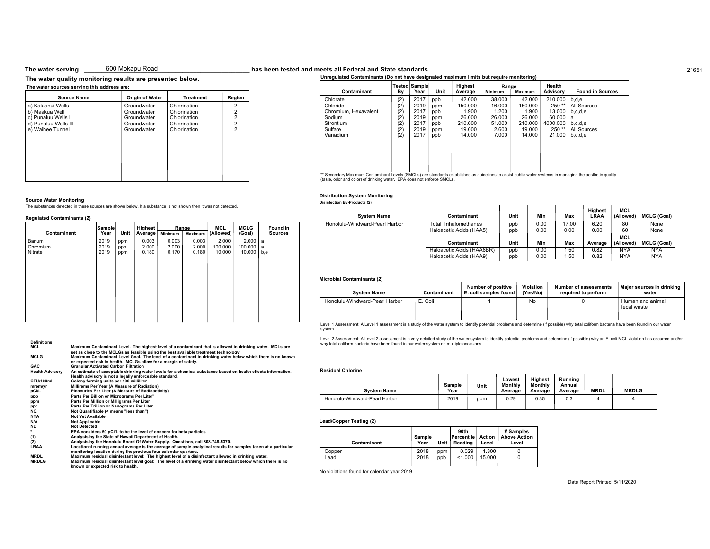#### 600 Mokapu Road

#### **The water quality monitoring results are presented below.**

**Sample**

| <b>Source Name</b>   | <b>Origin of Water</b> | <b>Treatment</b> | Region         |
|----------------------|------------------------|------------------|----------------|
| a) Kaluanui Wells    | Groundwater            | Chlorination     | 2              |
| b) Maakua Well       | Groundwater            | Chlorination     | 2              |
| c) Punaluu Wells II  | Groundwater            | Chlorination     | $\overline{2}$ |
| d) Punaluu Wells III | Groundwater            | Chlorination     | $\frac{2}{2}$  |
| e) Waihee Tunnel     | Groundwater            | Chlorination     |                |
|                      |                        |                  |                |
|                      |                        |                  |                |
|                      |                        |                  |                |
|                      |                        |                  |                |
|                      |                        |                  |                |
|                      |                        |                  |                |
|                      |                        |                  |                |
|                      |                        |                  |                |

**Highest**

The substances detected in these sources are shown below. If a substance is not shown then it was not detected.

#### **The water serving** 600 Mokapu Road **State State State State State Standards** and **State Standards.** 21651

**Unregulated Contaminants (Do not have designated maximum limits but require monitoring)**

|                                                                                                                                                               |                                               | Tested Sample                                        |                                               | Highest                                                             | Range                                                           |                                                                     | Health                                                                  |                                                                              |
|---------------------------------------------------------------------------------------------------------------------------------------------------------------|-----------------------------------------------|------------------------------------------------------|-----------------------------------------------|---------------------------------------------------------------------|-----------------------------------------------------------------|---------------------------------------------------------------------|-------------------------------------------------------------------------|------------------------------------------------------------------------------|
| Contaminant                                                                                                                                                   | By                                            | Year                                                 | Unit                                          | Average                                                             | <b>Minimum</b>                                                  | <b>Maximum</b>                                                      | Advisory                                                                | <b>Found in Sources</b>                                                      |
| Chlorate<br>Chloride<br>Chromium, Hexavalent<br>Sodium<br>Strontium<br>Sulfate<br>Vanadium                                                                    | (2)<br>(2)<br>(2)<br>(2)<br>(2)<br>(2)<br>(2) | 2017<br>2019<br>2017<br>2019<br>2017<br>2019<br>2017 | ppb<br>ppm<br>ppb<br>ppm<br>ppb<br>ppm<br>ppb | 42.000<br>150.000<br>1.900<br>26.000<br>210.000<br>19.000<br>14.000 | 38,000<br>16.000<br>1.200<br>26,000<br>51.000<br>2.600<br>7.000 | 42.000<br>150.000<br>1.900<br>26,000<br>210.000<br>19,000<br>14.000 | 210,000<br>$250**$<br>13.000<br>60,000<br>4000.000<br>$250**$<br>21.000 | b.d.e<br>All Sources<br>b.c.d.e<br>a<br>b.c.d.e<br>All Sources<br>b, c, d, e |
| Conception Maximum Contaminant Lough (CMCLe) are standards ostablished as quidelines to posist public unter quoter guatema in managine the posthetic quality. |                                               |                                                      |                                               |                                                                     |                                                                 |                                                                     |                                                                         |                                                                              |

Haloacetic Acids (HAA9)

\*\* Secondary Maximum Contaminant Levels (SMCLs) are standards established as guidelines to assist public water systems in managing the aesthetic quality<br>(taste, odor and color) of drinking water. EPA does not enforce SMCL

#### **Distribution System Monitoring**

**Disinfection By-Products (2)**

|                     |          | <b>System Name</b>             | Contaminant                                             | Unit         | Min          | Max           | <b>Highest</b><br>LRAA | <b>MCL</b><br>(Allowed)                | <b>MCLG (G</b> |
|---------------------|----------|--------------------------------|---------------------------------------------------------|--------------|--------------|---------------|------------------------|----------------------------------------|----------------|
| <b>MCLG</b>         | Found in | Honolulu-Windward-Pearl Harbor | <b>Total Trihalomethanes</b><br>Haloacetic Acids (HAA5) | ppb<br>ppb   | 0.00<br>0.00 | 17.00<br>0.00 | 6.20<br>0.00           | 80<br>60                               | None<br>None   |
| (Goal)<br>$2.000$ a | Sources  |                                | Contaminant                                             | <b>Ilnit</b> | Min          | May           | Averson                | <b>MCL</b><br>$(MI)$ $(MI)$ $(MI)$ $C$ |                |

#### **Microbial Contaminants (2)**

| <b>System Name</b>             | Contaminant | <b>Number of positive</b><br>E. coli samples found | Violation<br>(Yes/No) | <b>Number of assessments</b><br>required to perform | Major sources in drinking<br>water |
|--------------------------------|-------------|----------------------------------------------------|-----------------------|-----------------------------------------------------|------------------------------------|
| Honolulu-Windward-Pearl Harbor | E. Coli     |                                                    | No                    |                                                     | Human and animal<br>fecal waste    |

Level 1 Assessment: A Level 1 assessment is a study of the water system to identify potential problems and determine (if possible) why total coliform bacteria have been found in our water system.

Level 2 Assessment: A Level 2 assessment is a very detailed study of the water system to identify potential problems and determine (if possible) why an E. coli MCL violation has occurred and/or why total coliform bacteria have been found in our water system on multiple occasions.

#### **Residual Chlorine**

| <b>System Name</b>             | <b>Sample</b><br>Year | Unit | Lowest<br>Monthly<br>Average | <b>Highest</b><br>Monthly<br>Average | Running<br>Annual<br>Average | <b>MRDL</b> | <b>MRDLG</b> |
|--------------------------------|-----------------------|------|------------------------------|--------------------------------------|------------------------------|-------------|--------------|
| Honolulu-Windward-Pearl Harbor | 2019                  | ppm  | 0.29                         | 0.35                                 | 0.3                          |             |              |

#### **Lead/Copper Testing (2)**

| Contaminant | <b>Sample</b><br>Year | <b>Unit</b> | 90th<br>Percentile<br>Reading | Action<br>Level | # Samples<br>Above Action<br>Level |
|-------------|-----------------------|-------------|-------------------------------|-----------------|------------------------------------|
| Copper      | 2018                  | ppm         | 0.029                         | 1.300           |                                    |
| Lead        | 2018                  | ppb         | < 1.000                       | 15.000          |                                    |

No violations found for calendar year 2019

#### Date Report Printed: 5/11/2020

**Contaminant Unit Min Max Average**

Haloacetic Acids (HAA6BR) ppb 0.00 1.50 0.82 NYA NYA

**(Allowed) MCLG (Goal)**

**(Allowed) MCLG (Goal)**

|             | ------- |      | <br>    |         |         |           |         |                |
|-------------|---------|------|---------|---------|---------|-----------|---------|----------------|
| Contaminant | Year    | Unit | Average | Minimum | Maximum | (Allowed) | (Goal)  | <b>Sources</b> |
| Barium      | 2019    | ppm  | 0.003   | 0.003   | 0.003   | 2.000     | 2.000   | l a            |
| Chromium    | 2019    | ppb  | 2.000   | 2.000   | 2.000   | 100,000   | 100.000 | a              |
| Nitrate     | 2019    | ppm  | 0.180   | 0.170   | 0.180   | 10.000    | 10.000  | b,e            |
|             |         |      |         |         |         |           |         |                |
|             |         |      |         |         |         |           |         |                |
|             |         |      |         |         |         |           |         |                |
|             |         |      |         |         |         |           |         |                |
|             |         |      |         |         |         |           |         |                |
|             |         |      |         |         |         |           |         |                |
|             |         |      |         |         |         |           |         |                |
|             |         |      |         |         |         |           |         |                |
|             |         |      |         |         |         |           |         |                |
|             |         |      |         |         |         |           |         |                |
|             |         |      |         |         |         |           |         |                |
|             |         |      |         |         |         |           |         |                |

**Range**

**MCL**

#### **Definitions:**

**Regulated Contaminants (2)**

**Source Water Monitoring**

| MCL                    | Maximum Contaminant Level. The highest level of a contaminant that is allowed in drinking water. MCLs are<br>set as close to the MCLGs as feasible using the best available treatment technology. |
|------------------------|---------------------------------------------------------------------------------------------------------------------------------------------------------------------------------------------------|
| <b>MCLG</b>            | Maximum Contaminant Level Goal. The level of a contaminant in drinking water below which there is no known                                                                                        |
|                        | or expected risk to health. MCLGs allow for a margin of safety.                                                                                                                                   |
| <b>GAC</b>             | <b>Granular Activated Carbon Filtration</b>                                                                                                                                                       |
| <b>Health Advisory</b> | An estimate of acceptable drinking water levels for a chemical substance based on health effects information.                                                                                     |
|                        | Health advisory is not a legally enforceable standard.                                                                                                                                            |
| CFU/100ml              | Colony forming units per 100 milliliter                                                                                                                                                           |
| mrem/yr                | Millirems Per Year (A Measure of Radiation)                                                                                                                                                       |
| pCi/L                  | Picocuries Per Liter (A Measure of Radioactivity)                                                                                                                                                 |
| ppb                    | Parts Per Billion or Micrograms Per Liter"                                                                                                                                                        |
| ppm                    | Parts Per Million or Milligrams Per Liter                                                                                                                                                         |
| ppt                    | Parts Per Trillion or Nanograms Per Liter                                                                                                                                                         |
| NQ                     | Not Quantifiable (< means "less than")                                                                                                                                                            |
| NYA                    | <b>Not Yet Available</b>                                                                                                                                                                          |
| N/A                    | <b>Not Applicable</b>                                                                                                                                                                             |
| <b>ND</b>              | <b>Not Detected</b>                                                                                                                                                                               |
| ۰.                     | EPA considers 50 pCi/L to be the level of concern for beta particles                                                                                                                              |
| (1)                    | Analysis by the State of Hawaii Department of Health.                                                                                                                                             |
| (2)                    | Analysis by the Honolulu Board Of Water Supply. Questions, call 808-748-5370.                                                                                                                     |
| <b>LRAA</b>            | Locational running annual average is the average of sample analytical results for samples taken at a particular<br>monitoring location during the previous four calendar quarters.                |
| <b>MRDL</b>            | Maximum residual disinfectant level: The highest level of a disinfectant allowed in drinking water.                                                                                               |
| <b>MRDLG</b>           | Maximum residual disinfectant level goal: The level of a drinking water disinfectant below which there is no                                                                                      |
|                        | known or expected risk to health.                                                                                                                                                                 |
|                        |                                                                                                                                                                                                   |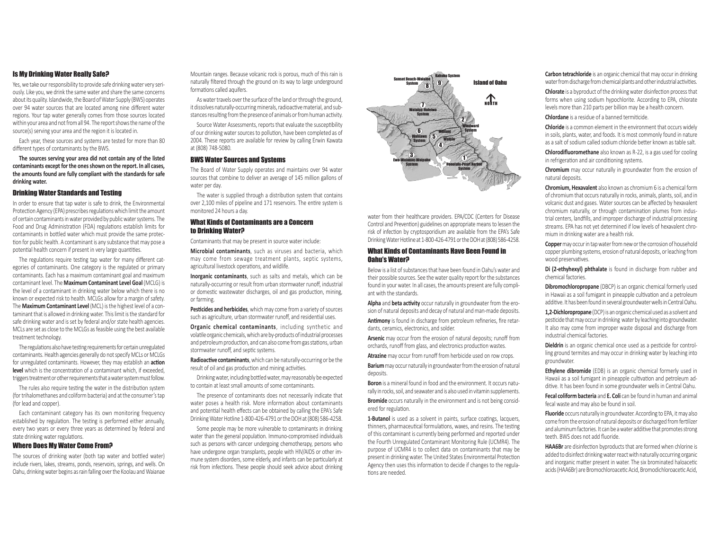#### Is My Drinking Water Really Safe?

Yes, we take our responsibility to provide safe drinking water very seriously. Like you, we drink the same water and share the same concerns about its quality. Islandwide, the Board of Water Supply (BWS) operates over 94 water sources that are located among nine diferent water regions. Your tap water generally comes from those sources located within your area and not from all 94. The report shows the name of the source(s) serving your area and the region it is located in.

Each year, these sources and systems are tested for more than 80 diferent types of contaminants by the BWS.

**The sources serving your area did not contain any of the listed contaminants except for the ones shown on the report. In all cases, the amounts found are fully compliant with the standards for safe drinking water.**

#### Drinking Water Standards and Testing

In order to ensure that tap water is safe to drink, the Environmental Protection Agency (EPA) prescribes regulations which limit the amount of certain contaminants in water provided by public water systems. The Food and Drug Administration (FDA) regulations establish limits for contaminants in bottled water which must provide the same protection for public health. A contaminant is any substance that may pose a potential health concern if present in very large quantities.

The regulations require testing tap water for many different categories of contaminants. One category is the regulated or primary contaminants. Each has a maximum contaminant goal and maximum contaminant level. The **Maximum Contaminant Level Goal** (MCLG) is the level of a contaminant in drinking water below which there is no known or expected risk to health. MCLGs allow for a margin of safety. The **Maximum Contaminant Level** (MCL) is the highest level of a contaminant that is allowed in drinking water. This limit is the standard for safe drinking water and is set by federal and/or state health agencies. MCLs are set as close to the MCLGs as feasible using the best available treatment technology.

The regulations also have testing requirements for certain unregulated contaminants. Health agencies generally do not specify MCLs or MCLGs for unregulated contaminants. However, they may establish an **acton level** which is the concentration of a contaminant which, if exceeded, triggers treatment or other requirements that a water system must follow.

The rules also require testng the water in the distributon system (for trihalomethanes and coliform bacteria) and at the consumer's tap (for lead and copper).

Each contaminant category has its own monitoring frequency established by regulation. The testing is performed either annually, every two years or every three years as determined by federal and state drinking water regulations.

#### Where Does My Water Come From?

The sources of drinking water (both tap water and bottled water) include rivers, lakes, streams, ponds, reservoirs, springs, and wells. On Oahu, drinking water begins as rain falling over the Koolau and Waianae Mountain ranges. Because volcanic rock is porous, much of this rain is naturally fltered through the ground on its way to large underground formations called aquifers.

As water travels over the surface of the land or through the ground, it dissolves naturally-occurring minerals, radioactive material, and substances resulting from the presence of animals or from human activity.

Source Water Assessments, reports that evaluate the susceptbility of our drinking water sources to pollution, have been completed as of 2004. These reports are available for review by calling Erwin Kawata at (808) 748-5080.

#### BWS Water Sources and Systems

The Board of Water Supply operates and maintains over 94 water sources that combine to deliver an average of 145 million gallons of water per day.

The water is supplied through a distribution system that contains over 2,100 miles of pipeline and 171 reservoirs. The entire system is monitored 24 hours a day.

#### What Kinds of Contaminants are a Concern to Drinking Water?

Contaminants that may be present in source water include:

**Microbial contaminants**, such as viruses and bacteria, which may come from sewage treatment plants, septic systems, agricultural livestock operations, and wildlife.

**Inorganic contaminants**, such as salts and metals, which can be naturally-occurring or result from urban stormwater runoff, industrial or domestic wastewater discharges, oil and gas production, mining, or farming.

**Pesticides and herbicides**, which may come from a variety of sources such as agriculture, urban stormwater runoff, and residential uses.

**Organic chemical contaminants**, including synthetic and volatle organic chemicals, which are by-products of industrial processes and petroleum production, and can also come from gas stations, urban stormwater runoff, and septic systems.

**Radioactive contaminants**, which can be naturally-occurring or be the result of oil and gas production and mining activities.

Drinking water, including botled water, may reasonably be expected to contain at least small amounts of some contaminants.

The presence of contaminants does not necessarily indicate that water poses a health risk. More information about contaminants and potential health effects can be obtained by calling the EPA's Safe Drinking Water Hotline 1-800-426-4791 or the DOH at (808) 586-4258.

Some people may be more vulnerable to contaminants in drinking water than the general population. Immuno-compromised individuals such as persons with cancer undergoing chemotherapy, persons who have undergone organ transplants, people with HIV/AIDS or other immune system disorders, some elderly, and infants can be partcularly at risk from infections. These people should seek advice about drinking



water from their healthcare providers. FPA/CDC (Centers for Disease Control and Prevention) guidelines on appropriate means to lessen the risk of infection by cryptosporidium are available from the EPA's Safe Drinking Water Hotline at 1-800-426-4791 or the DOH at (808) 586-4258.

#### What Kinds of Contaminants Have Been Found in Oahu's Water?

Below is a list of substances that have been found in Oahu's water and their possible sources. See the water quality report for the substances found in your water. In all cases, the amounts present are fully compliant with the standards.

Alpha and beta activity occur naturally in groundwater from the erosion of natural deposits and decay of natural and man-made deposits. **Antmony** is found in discharge from petroleum refneries, fre retardants, ceramics, electronics, and solder.

**Arsenic** may occur from the erosion of natural deposits; runoff from orchards, runoff from glass, and electronics production wastes.

Atrazine may occur from runoff from herbicide used on row crops. **Barium** may occur naturally in groundwater from the erosion of natural deposits.

**Boron** is a mineral found in food and the environment. It occurs naturally in rocks, soil, and seawater and is also used in vitamin supplements.

**Bromide** occurs naturally in the environment and is not being considered for regulation.

**1-Butanol** is used as a solvent in paints, surface coatings, lacquers, thinners, pharmaceutical formulations, waxes, and resins. The testing of this contaminant is currently being performed and reported under the Fourth Unregulated Contaminant Monitoring Rule (UCMR4). The purpose of UCMR4 is to collect data on contaminants that may be present in drinking water. The United States Environmental Protecton Agency then uses this informaton to decide if changes to the regulations are needed.

**Carbon tetrachloride** is an organic chemical that may occur in drinking water from discharge from chemical plants and other industrial activities.

**Chlorate** is a byproduct of the drinking water disinfection process that forms when using sodium hypochlorite. According to EPA, chlorate levels more than 210 parts per billion may be a health concern.

**Chlordane** is a residue of a banned termiticide.

**Chloride** is a common element in the environment that occurs widely in soils, plants, water, and foods. It is most commonly found in nature as a salt of sodium called sodium chloride beter known as table salt.

**Chlorodifuoromethane** also known as R-22, is a gas used for cooling in refrigeration and air conditioning systems.

**Chromium** may occur naturally in groundwater from the erosion of natural deposits.

**Chromium, Hexavalent** also known as chromium 6 is a chemical form of chromium that occurs naturally in rocks, animals, plants, soil, and in volcanic dust and gases. Water sources can be afected by hexavalent chromium naturally, or through contamination plumes from industrial centers, landflls, and improper discharge of industrial processing streams. EPA has not yet determined if low levels of hexavalent chromium in drinking water are a health risk.

**Copper** may occur in tap water from new or the corrosion of household copper plumbing systems, erosion of natural deposits, or leaching from wood preservatives.

**Di (2-ethyhexyl) phthalate** is found in discharge from rubber and chemical factories.

**Dibromochloropropane** (DBCP) is an organic chemical formerly used in Hawaii as a soil fumigant in pineapple cultivation and a petroleum additive. It has been found in several groundwater wells in Central Oahu.

**1,2-Dichloropropane** (DCP) is an organic chemical used as a solvent and pesticide that may occur in drinking water by leaching into groundwater. It also may come from improper waste disposal and discharge from industrial chemical factories.

**Dieldrin** is an organic chemical once used as a pesticide for controlling ground termites and may occur in drinking water by leaching into groundwater.

**Ethylene dibromide** (EDB) is an organic chemical formerly used in Hawaii as a soil fumigant in pineapple cultivation and petroleum additve. It has been found in some groundwater wells in Central Oahu.

**Fecal coliform bacteria** and **E. Coli** can be found in human and animal fecal waste and may also be found in soil.

**Fluoride** occurs naturally in groundwater. According to EPA, it may also come from the erosion of natural deposits or discharged from fertlizer and aluminum factories. It can be a water additive that promotes strong teeth. BWS does not add fuoride.

**HAA6Br** are disinfection byproducts that are formed when chlorine is added to disinfect drinking water react with naturally occurring organic and inorganic matter present in water. The six brominated haloacetic acids (HAA6Br) are Bromochloroacetic Acid, Bromodichloroacetic Acid,